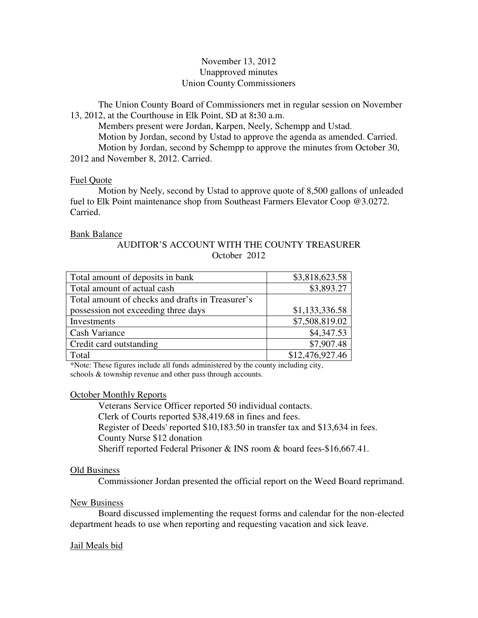# November 13, 2012 Unapproved minutes Union County Commissioners

The Union County Board of Commissioners met in regular session on November 13, 2012, at the Courthouse in Elk Point, SD at 8**:**30 a.m.

 Members present were Jordan, Karpen, Neely, Schempp and Ustad. Motion by Jordan, second by Ustad to approve the agenda as amended. Carried. Motion by Jordan, second by Schempp to approve the minutes from October 30, 2012 and November 8, 2012. Carried.

## Fuel Quote

 Motion by Neely, second by Ustad to approve quote of 8,500 gallons of unleaded fuel to Elk Point maintenance shop from Southeast Farmers Elevator Coop @3.0272. Carried.

## Bank Balance

# AUDITOR'S ACCOUNT WITH THE COUNTY TREASURER October 2012

| Total amount of deposits in bank                 | \$3,818,623.58  |
|--------------------------------------------------|-----------------|
| Total amount of actual cash                      | \$3,893.27      |
| Total amount of checks and drafts in Treasurer's |                 |
| possession not exceeding three days              | \$1,133,336.58  |
| Investments                                      | \$7,508,819.02  |
| Cash Variance                                    | \$4,347.53      |
| Credit card outstanding                          | \$7,907.48      |
| Total                                            | \$12,476,927.46 |

\*Note: These figures include all funds administered by the county including city, schools & township revenue and other pass through accounts.

# October Monthly Reports

 Veterans Service Officer reported 50 individual contacts. Clerk of Courts reported \$38,419.68 in fines and fees. Register of Deeds' reported \$10,183.50 in transfer tax and \$13,634 in fees. County Nurse \$12 donation Sheriff reported Federal Prisoner & INS room & board fees-\$16,667.41.

# Old Business

Commissioner Jordan presented the official report on the Weed Board reprimand.

# New Business

 Board discussed implementing the request forms and calendar for the non-elected department heads to use when reporting and requesting vacation and sick leave.

# Jail Meals bid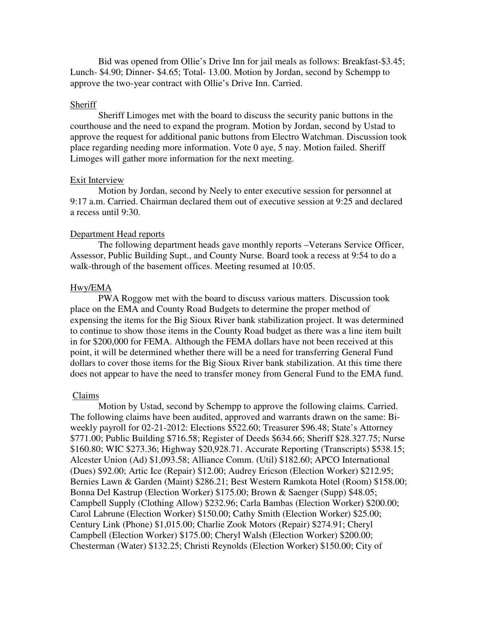Bid was opened from Ollie's Drive Inn for jail meals as follows: Breakfast-\$3.45; Lunch- \$4.90; Dinner- \$4.65; Total- 13.00. Motion by Jordan, second by Schempp to approve the two-year contract with Ollie's Drive Inn. Carried.

#### Sheriff

 Sheriff Limoges met with the board to discuss the security panic buttons in the courthouse and the need to expand the program. Motion by Jordan, second by Ustad to approve the request for additional panic buttons from Electro Watchman. Discussion took place regarding needing more information. Vote 0 aye, 5 nay. Motion failed. Sheriff Limoges will gather more information for the next meeting.

### Exit Interview

 Motion by Jordan, second by Neely to enter executive session for personnel at 9:17 a.m. Carried. Chairman declared them out of executive session at 9:25 and declared a recess until 9:30.

#### Department Head reports

 The following department heads gave monthly reports –Veterans Service Officer, Assessor, Public Building Supt., and County Nurse. Board took a recess at 9:54 to do a walk-through of the basement offices. Meeting resumed at 10:05.

## Hwy/EMA

 PWA Roggow met with the board to discuss various matters. Discussion took place on the EMA and County Road Budgets to determine the proper method of expensing the items for the Big Sioux River bank stabilization project. It was determined to continue to show those items in the County Road budget as there was a line item built in for \$200,000 for FEMA. Although the FEMA dollars have not been received at this point, it will be determined whether there will be a need for transferring General Fund dollars to cover those items for the Big Sioux River bank stabilization. At this time there does not appear to have the need to transfer money from General Fund to the EMA fund.

#### Claims

 Motion by Ustad, second by Schempp to approve the following claims. Carried. The following claims have been audited, approved and warrants drawn on the same: Biweekly payroll for 02-21-2012: Elections \$522.60; Treasurer \$96.48; State's Attorney \$771.00; Public Building \$716.58; Register of Deeds \$634.66; Sheriff \$28.327.75; Nurse \$160.80; WIC \$273.36; Highway \$20,928.71. Accurate Reporting (Transcripts) \$538.15; Alcester Union (Ad) \$1,093.58; Alliance Comm. (Util) \$182.60; APCO International (Dues) \$92.00; Artic Ice (Repair) \$12.00; Audrey Ericson (Election Worker) \$212.95; Bernies Lawn & Garden (Maint) \$286.21; Best Western Ramkota Hotel (Room) \$158.00; Bonna Del Kastrup (Election Worker) \$175.00; Brown & Saenger (Supp) \$48.05; Campbell Supply (Clothing Allow) \$232.96; Carla Bambas (Election Worker) \$200.00; Carol Labrune (Election Worker) \$150.00; Cathy Smith (Election Worker) \$25.00; Century Link (Phone) \$1,015.00; Charlie Zook Motors (Repair) \$274.91; Cheryl Campbell (Election Worker) \$175.00; Cheryl Walsh (Election Worker) \$200.00; Chesterman (Water) \$132.25; Christi Reynolds (Election Worker) \$150.00; City of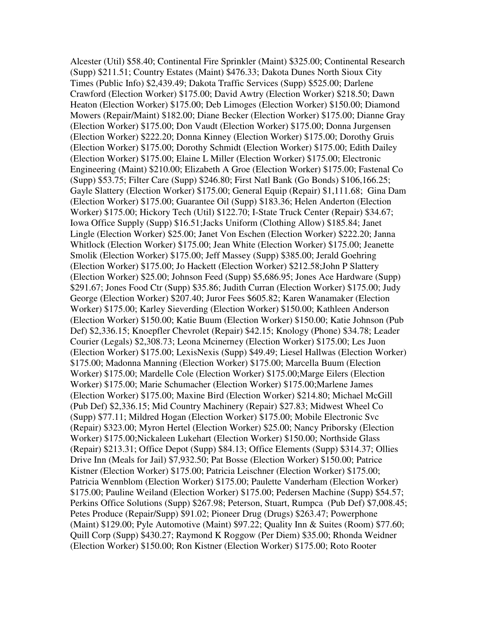Alcester (Util) \$58.40; Continental Fire Sprinkler (Maint) \$325.00; Continental Research (Supp) \$211.51; Country Estates (Maint) \$476.33; Dakota Dunes North Sioux City Times (Public Info) \$2,439.49; Dakota Traffic Services (Supp) \$525.00; Darlene Crawford (Election Worker) \$175.00; David Awtry (Election Worker) \$218.50; Dawn Heaton (Election Worker) \$175.00; Deb Limoges (Election Worker) \$150.00; Diamond Mowers (Repair/Maint) \$182.00; Diane Becker (Election Worker) \$175.00; Dianne Gray (Election Worker) \$175.00; Don Vaudt (Election Worker) \$175.00; Donna Jurgensen (Election Worker) \$222.20; Donna Kinney (Election Worker) \$175.00; Dorothy Gruis (Election Worker) \$175.00; Dorothy Schmidt (Election Worker) \$175.00; Edith Dailey (Election Worker) \$175.00; Elaine L Miller (Election Worker) \$175.00; Electronic Engineering (Maint) \$210.00; Elizabeth A Groe (Election Worker) \$175.00; Fastenal Co (Supp) \$53.75; Filter Care (Supp) \$246.80; First Natl Bank (Go Bonds) \$106,166.25; Gayle Slattery (Election Worker) \$175.00; General Equip (Repair) \$1,111.68; Gina Dam (Election Worker) \$175.00; Guarantee Oil (Supp) \$183.36; Helen Anderton (Election Worker) \$175.00; Hickory Tech (Util) \$122.70; I-State Truck Center (Repair) \$34.67; Iowa Office Supply (Supp) \$16.51;Jacks Uniform (Clothing Allow) \$185.84; Janet Lingle (Election Worker) \$25.00; Janet Von Eschen (Election Worker) \$222.20; Janna Whitlock (Election Worker) \$175.00; Jean White (Election Worker) \$175.00; Jeanette Smolik (Election Worker) \$175.00; Jeff Massey (Supp) \$385.00; Jerald Goehring (Election Worker) \$175.00; Jo Hackett (Election Worker) \$212.58;John P Slattery (Election Worker) \$25.00; Johnson Feed (Supp) \$5,686.95; Jones Ace Hardware (Supp) \$291.67; Jones Food Ctr (Supp) \$35.86; Judith Curran (Election Worker) \$175.00; Judy George (Election Worker) \$207.40; Juror Fees \$605.82; Karen Wanamaker (Election Worker) \$175.00; Karley Sieverding (Election Worker) \$150.00; Kathleen Anderson (Election Worker) \$150.00; Katie Buum (Election Worker) \$150.00; Katie Johnson (Pub Def) \$2,336.15; Knoepfler Chevrolet (Repair) \$42.15; Knology (Phone) \$34.78; Leader Courier (Legals) \$2,308.73; Leona Mcinerney (Election Worker) \$175.00; Les Juon (Election Worker) \$175.00; LexisNexis (Supp) \$49.49; Liesel Hallwas (Election Worker) \$175.00; Madonna Manning (Election Worker) \$175.00; Marcella Buum (Election Worker) \$175.00; Mardelle Cole (Election Worker) \$175.00;Marge Eilers (Election Worker) \$175.00; Marie Schumacher (Election Worker) \$175.00;Marlene James (Election Worker) \$175.00; Maxine Bird (Election Worker) \$214.80; Michael McGill (Pub Def) \$2,336.15; Mid Country Machinery (Repair) \$27.83; Midwest Wheel Co (Supp) \$77.11; Mildred Hogan (Election Worker) \$175.00; Mobile Electronic Svc (Repair) \$323.00; Myron Hertel (Election Worker) \$25.00; Nancy Priborsky (Election Worker) \$175.00;Nickaleen Lukehart (Election Worker) \$150.00; Northside Glass (Repair) \$213.31; Office Depot (Supp) \$84.13; Office Elements (Supp) \$314.37; Ollies Drive Inn (Meals for Jail) \$7,932.50; Pat Bosse (Election Worker) \$150.00; Patrice Kistner (Election Worker) \$175.00; Patricia Leischner (Election Worker) \$175.00; Patricia Wennblom (Election Worker) \$175.00; Paulette Vanderham (Election Worker) \$175.00; Pauline Weiland (Election Worker) \$175.00; Pedersen Machine (Supp) \$54.57; Perkins Office Solutions (Supp) \$267.98; Peterson, Stuart, Rumpca (Pub Def) \$7,008.45; Petes Produce (Repair/Supp) \$91.02; Pioneer Drug (Drugs) \$263.47; Powerphone (Maint) \$129.00; Pyle Automotive (Maint) \$97.22; Quality Inn & Suites (Room) \$77.60; Quill Corp (Supp) \$430.27; Raymond K Roggow (Per Diem) \$35.00; Rhonda Weidner (Election Worker) \$150.00; Ron Kistner (Election Worker) \$175.00; Roto Rooter